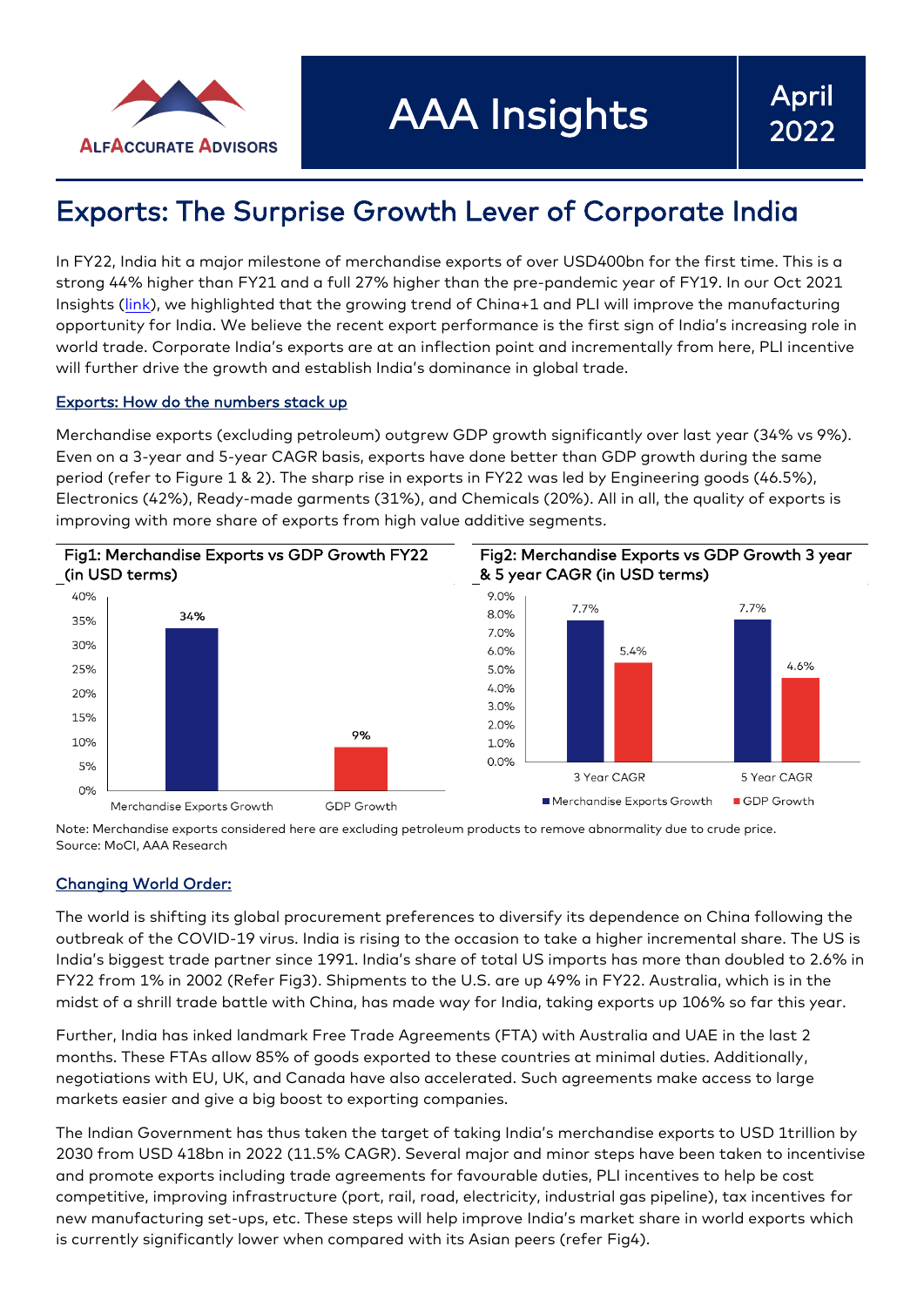

AAA Insights

# Exports: The Surprise Growth Lever of Corporate India

In FY22, India hit a major milestone of merchandise exports of over USD400bn for the first time. This is a strong 44% higher than FY21 and a full 27% higher than the pre-pandemic year of FY19. In our Oct 2021 Insights [\(link\)](https://www.alfaccurate.com/sensex-60k-what-next), we highlighted that the growing trend of China+1 and PLI will improve the manufacturing opportunity for India. We believe the recent export performance is the first sign of India's increasing role in world trade. Corporate India's exports are at an inflection point and incrementally from here, PLI incentive will further drive the growth and establish India's dominance in global trade.

#### Exports: How do the numbers stack up

Merchandise exports (excluding petroleum) outgrew GDP growth significantly over last year (34% vs 9%). Even on a 3-year and 5-year CAGR basis, exports have done better than GDP growth during the same period (refer to Figure 1 & 2). The sharp rise in exports in FY22 was led by Engineering goods (46.5%), Electronics (42%), Ready-made garments (31%), and Chemicals (20%). All in all, the quality of exports is improving with more share of exports from high value additive segments.



Note: Merchandise exports considered here are excluding petroleum products to remove abnormality due to crude price. Source: MoCI, AAA Research

## Changing World Order:

The world is shifting its global procurement preferences to diversify its dependence on China following the outbreak of the COVID-19 virus. India is rising to the occasion to take a higher incremental share. The US is India's biggest trade partner since 1991. India's share of total US imports has more than doubled to 2.6% in FY22 from 1% in 2002 (Refer Fig3). Shipments to the U.S. are up 49% in FY22. Australia, which is in the midst of a shrill trade battle with China, has made way for India, taking exports up 106% so far this year.

Further, India has inked landmark Free Trade Agreements (FTA) with Australia and UAE in the last 2 months. These FTAs allow 85% of goods exported to these countries at minimal duties. Additionally, negotiations with EU, UK, and Canada have also accelerated. Such agreements make access to large markets easier and give a big boost to exporting companies.

The Indian Government has thus taken the target of taking India's merchandise exports to USD 1trillion by 2030 from USD 418bn in 2022 (11.5% CAGR). Several major and minor steps have been taken to incentivise and promote exports including trade agreements for favourable duties, PLI incentives to help be cost competitive, improving infrastructure (port, rail, road, electricity, industrial gas pipeline), tax incentives for new manufacturing set-ups, etc. These steps will help improve India's market share in world exports which is currently significantly lower when compared with its Asian peers (refer Fig4).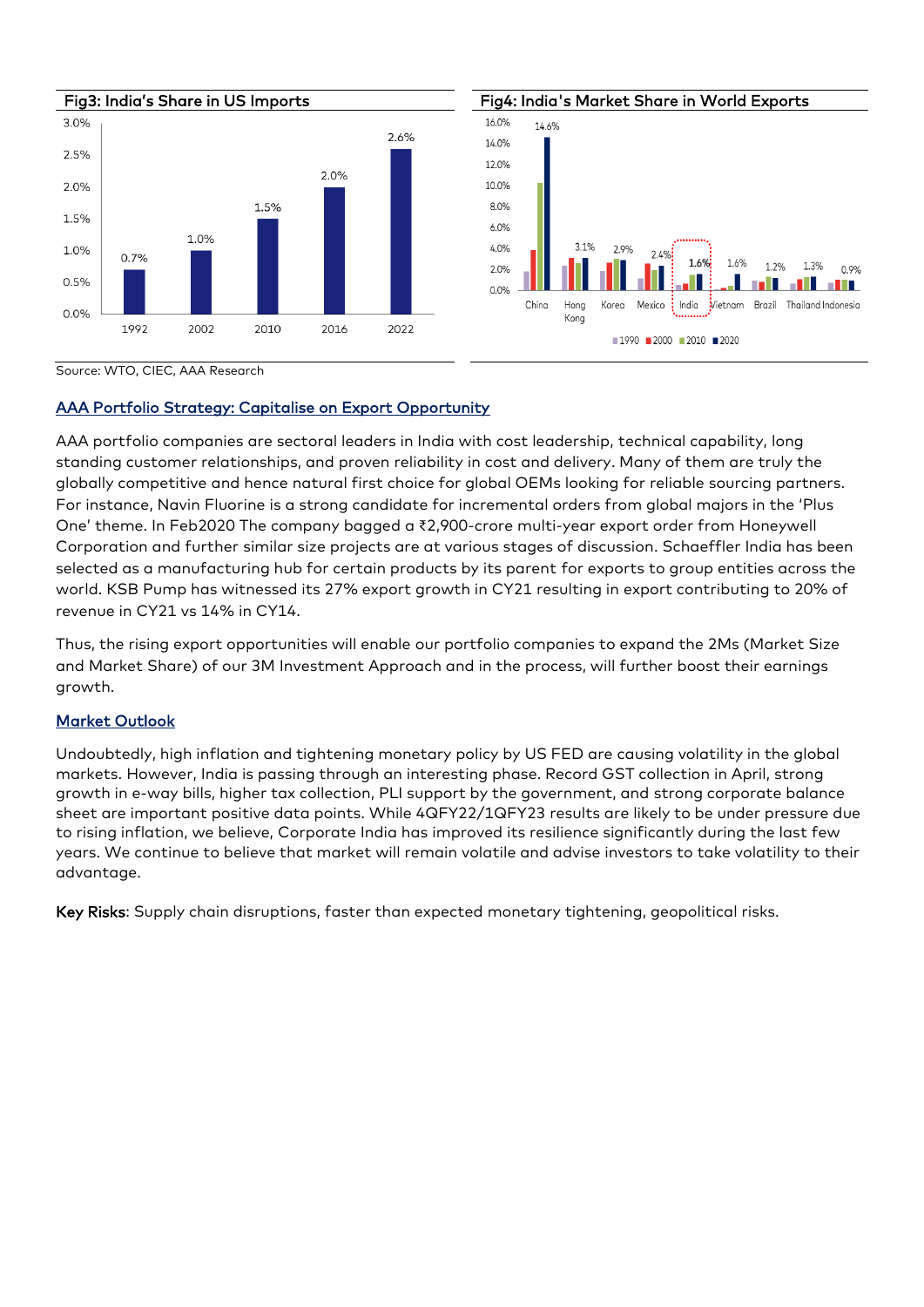



Source: WTO, CIEC, AAA Research

## AAA Portfolio Strategy: Capitalise on Export Opportunity

AAA portfolio companies are sectoral leaders in India with cost leadership, technical capability, long standing customer relationships, and proven reliability in cost and delivery. Many of them are truly the globally competitive and hence natural first choice for global OEMs looking for reliable sourcing partners. For instance, Navin Fluorine is a strong candidate for incremental orders from global majors in the 'Plus One' theme. In Feb2020 The company bagged a ₹2,900-crore multi-year export order from Honeywell Corporation and further similar size projects are at various stages of discussion. Schaeffler India has been selected as a manufacturing hub for certain products by its parent for exports to group entities across the world. KSB Pump has witnessed its 27% export growth in CY21 resulting in export contributing to 20% of revenue in CY21 vs 14% in CY14.

Thus, the rising export opportunities will enable our portfolio companies to expand the 2Ms (Market Size and Market Share) of our 3M Investment Approach and in the process, will further boost their earnings growth.

#### Market Outlook

Undoubtedly, high inflation and tightening monetary policy by US FED are causing volatility in the global markets. However, India is passing through an interesting phase. Record GST collection in April, strong growth in e-way bills, higher tax collection, PLI support by the government, and strong corporate balance sheet are important positive data points. While 4QFY22/1QFY23 results are likely to be under pressure due to rising inflation, we believe, Corporate India has improved its resilience significantly during the last few years. We continue to believe that market will remain volatile and advise investors to take volatility to their advantage.

Key Risks: Supply chain disruptions, faster than expected monetary tightening, geopolitical risks.